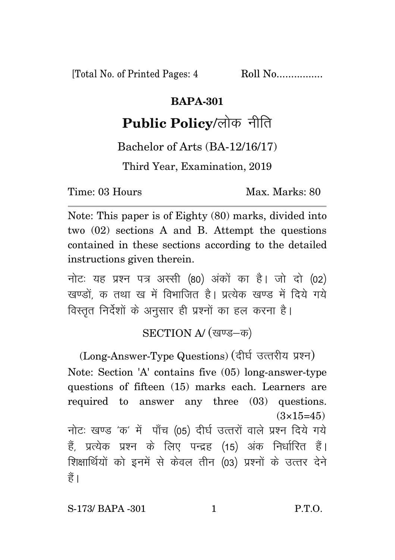[Total No. of Printed Pages: 4 Roll No.................

## **BAPA-301**

## **Public Policy/लोक नीति**

Bachelor of Arts (BA-12/16/17)

Third Year, Examination, 2019

Time: 03 Hours Max. Marks: 80

Note: This paper is of Eighty (80) marks, divided into two (02) sections A and B. Attempt the questions contained in these sections according to the detailed instructions given therein.

नोट: यह प्रश्न पत्र अस्सी (80) अंकों का है। जो दो (02) खण्डों क तथा ख में विभाजित है। प्रत्येक खण्ड में दिये गये विस्तृत निर्देशों के अनुसार ही प्रश्नों का हल करना है।

SECTION A/ (खण्ड-क)

(Long-Answer-Type Questions) (दीर्घ उत्तरीय प्रश्न) Note: Section 'A' contains five (05) long-answer-type questions of fifteen (15) marks each. Learners are required to answer any three (03) questions.  $(3\times15=45)$ नोट: खण्ड 'क' में पाँच (05) दीर्घ उत्तरों वाले प्रश्न दिये गये हैं, प्रत्येक प्रश्न के लिए पन्द्रह (15) अंक निर्धारित हैं। शिक्षार्थियों को इनमें से केवल तीन (03) प्रश्नों के उत्तर देने हैं ।

S-173/ BAPA -301 1 P.T.O.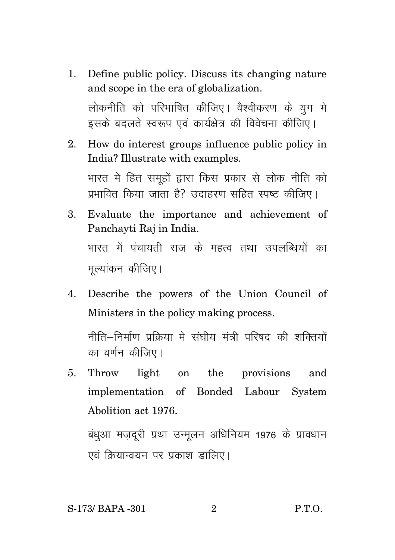Define public policy. Discuss its changing nature  $1<sup>1</sup>$ and scope in the era of globalization.

लोकनीति को परिभाषित कीजिए। वैश्वीकरण के युग मे इसके बदलते स्वरूप एवं कार्यक्षेत्र की विवेचना कीजिए।

- How do interest groups influence public policy in  $\overline{2}$ India? Illustrate with examples. भारत मे हित समुहों द्वारा किस प्रकार से लोक नीति को प्रभावित किया जाता है? उदाहरण सहित स्पष्ट कीजिए।
- 3. Evaluate the importance and achievement of Panchayti Raj in India. भारत में पंचायती राज के महत्व तथा उपलब्धियों का मुल्यांकन कीजिए।
- 4. Describe the powers of the Union Council of Ministers in the policy making process.

नीति–निर्माण प्रक्रिया मे संघीय मंत्री परिषद की शक्तियों का वर्णन कीजिए।

 $5<sub>1</sub>$ Throw light on the provisions and implementation of Bonded Labour System Abolition act 1976.

बंधूआ मजदूरी प्रथा उन्मूलन अधिनियम 1976 के प्रावधान एवं क्रियान्वयन पर प्रकाश डालिए।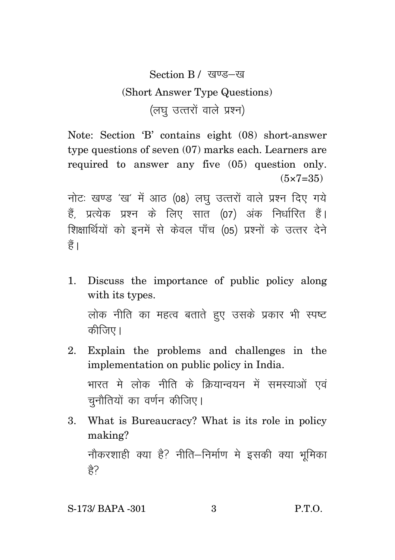Section B / खण्ड-ख (Short Answer Type Questions)  $(\overline{a}$ घ $\overline{b}$  उत्तरों वाले प्रश्न)

Note: Section 'B' contains eight (08) short-answer type questions of seven (07) marks each. Learners are required to answer any five (05) question only.  $(5 \times 7 = 35)$ 

नोटः खण्ड 'ख' में आठ (08) लघु उत्तरों वाले प्रश्न दिए गये हैं, प्रत्येक प्रश्न के लिए सात (07) अंक निर्धारित हैं। शिक्षार्थियों को इनमें से केवल पाँच (05) प्रश्नों के उत्तर देने हैं।

1. Discuss the importance of public policy along with its types. लोक नीति का महत्व बताते हुए उसके प्रकार भी स्पष्ट

कीजिए।

2. Explain the problems and challenges in the implementation on public policy in India.

भारत मे लोक नीति के क्रियान्वयन में समस्याओं एवं चुनौतियों का वर्णन कीजिए।

3. What is Bureaucracy? What is its role in policy making?

नौकरशाही क्या है? नीति–निर्माण मे इसकी क्या भूमिका हे?